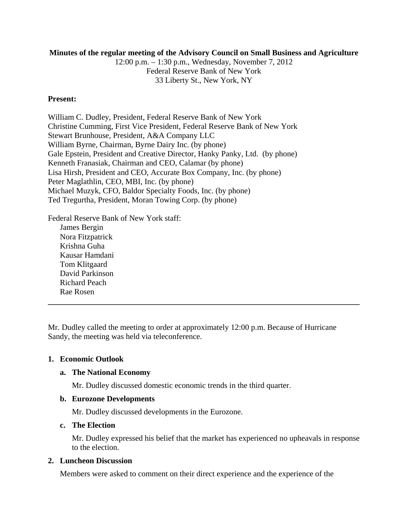### **Minutes of the regular meeting of the Advisory Council on Small Business and Agriculture**

12:00 p.m. – 1:30 p.m., Wednesday, November 7, 2012 Federal Reserve Bank of New York 33 Liberty St., New York, NY

### **Present:**

William C. Dudley, President, Federal Reserve Bank of New York Christine Cumming, First Vice President, Federal Reserve Bank of New York Stewart Brunhouse, President, A&A Company LLC William Byrne, Chairman, Byrne Dairy Inc. (by phone) Gale Epstein, President and Creative Director, Hanky Panky, Ltd. (by phone) Kenneth Franasiak, Chairman and CEO, Calamar (by phone) Lisa Hirsh, President and CEO, Accurate Box Company, Inc. (by phone) Peter Maglathlin, CEO, MBI, Inc. (by phone) Michael Muzyk, CFO, Baldor Specialty Foods, Inc. (by phone) Ted Tregurtha, President, Moran Towing Corp. (by phone)

Federal Reserve Bank of New York staff: James Bergin Nora Fitzpatrick Krishna Guha Kausar Hamdani Tom Klitgaard David Parkinson Richard Peach Rae Rosen **\_\_\_\_\_\_\_\_\_\_\_\_\_\_\_\_\_\_\_\_\_\_\_\_\_\_\_\_\_\_\_\_\_\_\_\_\_\_\_\_\_\_\_\_\_\_\_\_\_\_\_\_\_\_\_\_\_\_\_\_\_\_\_\_\_\_\_\_\_\_\_\_\_\_\_\_\_\_**

Mr. Dudley called the meeting to order at approximately 12:00 p.m. Because of Hurricane Sandy, the meeting was held via teleconference.

# **1. Economic Outlook**

# **a. The National Economy**

Mr. Dudley discussed domestic economic trends in the third quarter.

# **b. Eurozone Developments**

Mr. Dudley discussed developments in the Eurozone.

# **c. The Election**

Mr. Dudley expressed his belief that the market has experienced no upheavals in response to the election.

#### **2. Luncheon Discussion**

Members were asked to comment on their direct experience and the experience of the